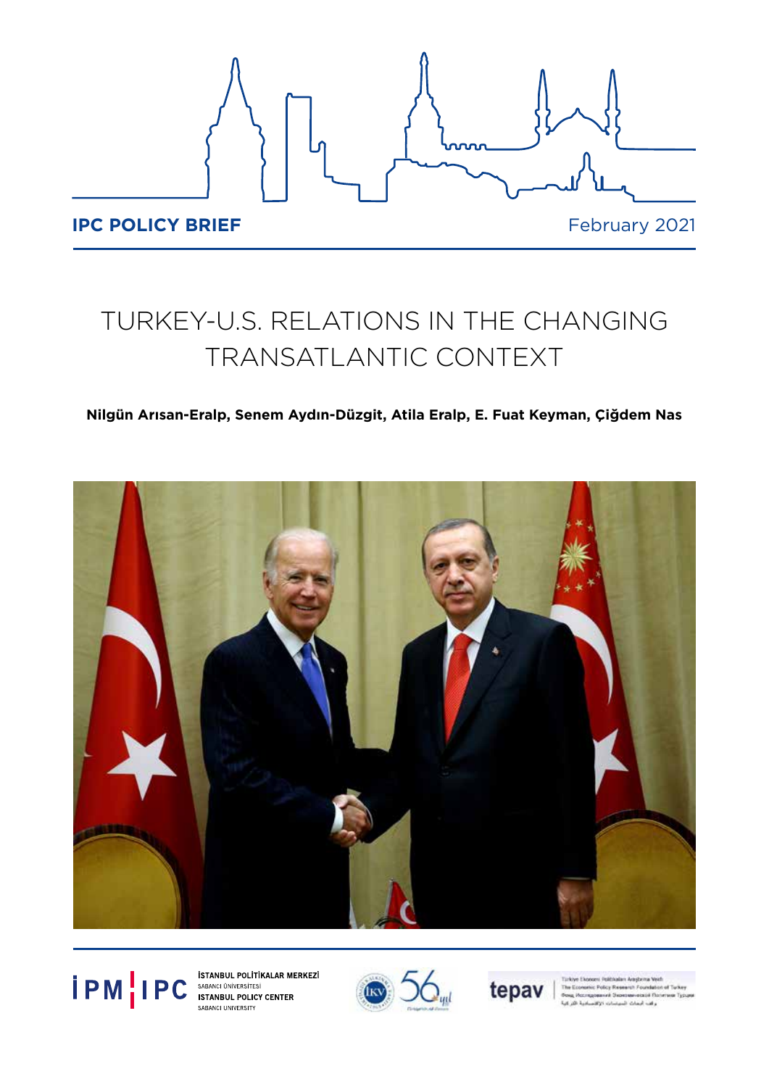

# TURKEY-U.S. RELATIONS IN THE CHANGING TRANSATLANTIC CONTEXT

## **Nilgün Arısan-Eralp, Senem Aydın-Düzgit, Atila Eralp, E. Fuat Keyman, Çiğdem Nas**









stic Policy Research Found med Su cia no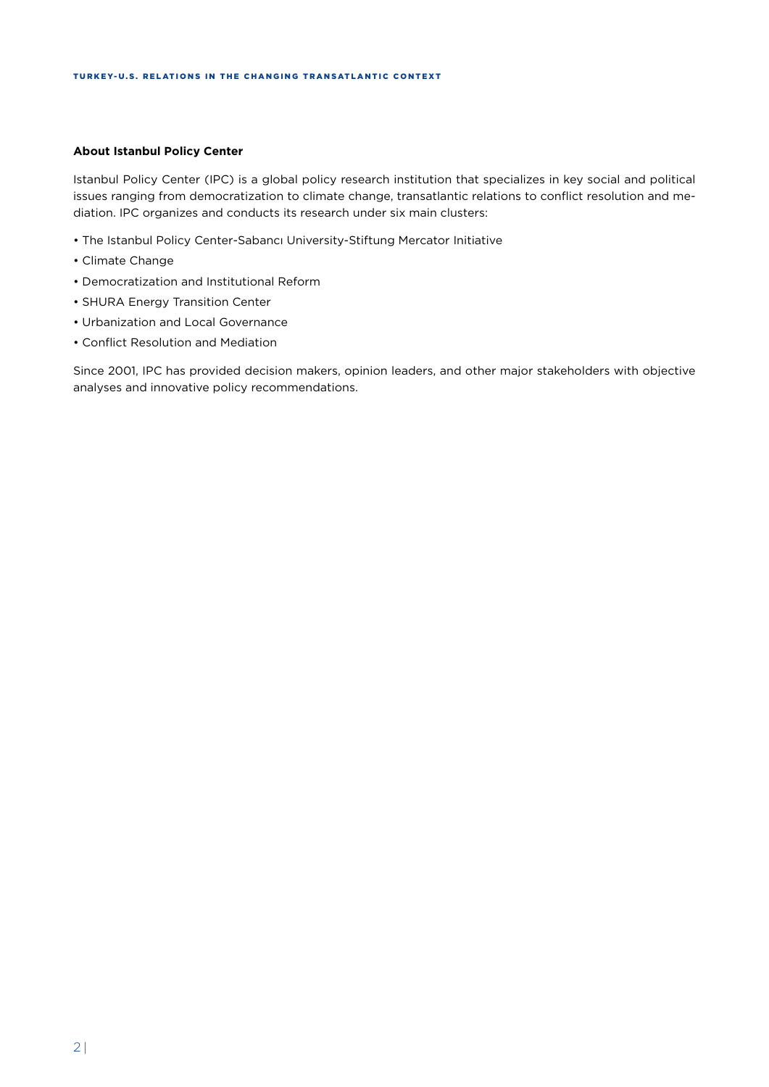#### **About Istanbul Policy Center**

Istanbul Policy Center (IPC) is a global policy research institution that specializes in key social and political issues ranging from democratization to climate change, transatlantic relations to conflict resolution and mediation. IPC organizes and conducts its research under six main clusters:

- The Istanbul Policy Center-Sabancı University-Stiftung Mercator Initiative
- Climate Change
- Democratization and Institutional Reform
- SHURA Energy Transition Center
- Urbanization and Local Governance
- Conflict Resolution and Mediation

Since 2001, IPC has provided decision makers, opinion leaders, and other major stakeholders with objective analyses and innovative policy recommendations.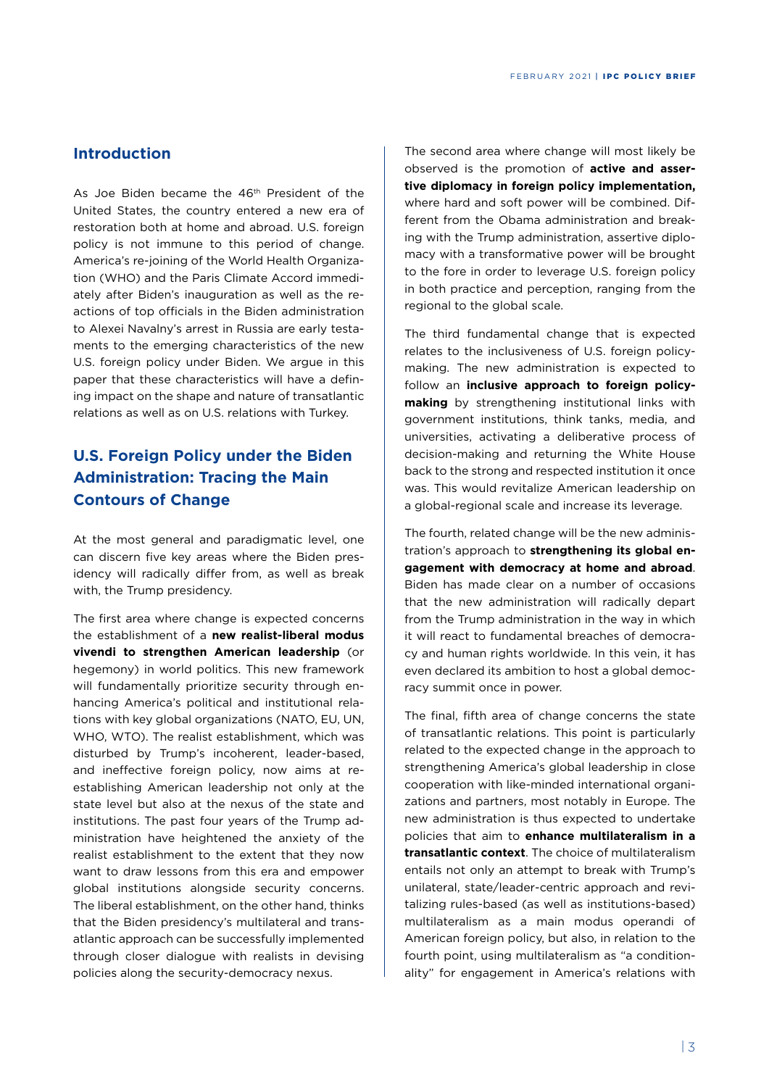#### **Introduction**

As Joe Biden became the 46<sup>th</sup> President of the United States, the country entered a new era of restoration both at home and abroad. U.S. foreign policy is not immune to this period of change. America's re-joining of the World Health Organization (WHO) and the Paris Climate Accord immediately after Biden's inauguration as well as the reactions of top officials in the Biden administration to Alexei Navalny's arrest in Russia are early testaments to the emerging characteristics of the new U.S. foreign policy under Biden. We argue in this paper that these characteristics will have a defining impact on the shape and nature of transatlantic relations as well as on U.S. relations with Turkey.

## **U.S. Foreign Policy under the Biden Administration: Tracing the Main Contours of Change**

At the most general and paradigmatic level, one can discern five key areas where the Biden presidency will radically differ from, as well as break with, the Trump presidency.

The first area where change is expected concerns the establishment of a **new realist-liberal modus vivendi to strengthen American leadership** (or hegemony) in world politics. This new framework will fundamentally prioritize security through enhancing America's political and institutional relations with key global organizations (NATO, EU, UN, WHO, WTO). The realist establishment, which was disturbed by Trump's incoherent, leader-based, and ineffective foreign policy, now aims at reestablishing American leadership not only at the state level but also at the nexus of the state and institutions. The past four years of the Trump administration have heightened the anxiety of the realist establishment to the extent that they now want to draw lessons from this era and empower global institutions alongside security concerns. The liberal establishment, on the other hand, thinks that the Biden presidency's multilateral and transatlantic approach can be successfully implemented through closer dialogue with realists in devising policies along the security-democracy nexus.

The second area where change will most likely be observed is the promotion of **active and assertive diplomacy in foreign policy implementation,** where hard and soft power will be combined. Different from the Obama administration and breaking with the Trump administration, assertive diplomacy with a transformative power will be brought to the fore in order to leverage U.S. foreign policy in both practice and perception, ranging from the regional to the global scale.

The third fundamental change that is expected relates to the inclusiveness of U.S. foreign policymaking. The new administration is expected to follow an **inclusive approach to foreign policymaking** by strengthening institutional links with government institutions, think tanks, media, and universities, activating a deliberative process of decision-making and returning the White House back to the strong and respected institution it once was. This would revitalize American leadership on a global-regional scale and increase its leverage.

The fourth, related change will be the new administration's approach to **strengthening its global engagement with democracy at home and abroad**. Biden has made clear on a number of occasions that the new administration will radically depart from the Trump administration in the way in which it will react to fundamental breaches of democracy and human rights worldwide. In this vein, it has even declared its ambition to host a global democracy summit once in power.

The final, fifth area of change concerns the state of transatlantic relations. This point is particularly related to the expected change in the approach to strengthening America's global leadership in close cooperation with like-minded international organizations and partners, most notably in Europe. The new administration is thus expected to undertake policies that aim to **enhance multilateralism in a transatlantic context**. The choice of multilateralism entails not only an attempt to break with Trump's unilateral, state/leader-centric approach and revitalizing rules-based (as well as institutions-based) multilateralism as a main modus operandi of American foreign policy, but also, in relation to the fourth point, using multilateralism as "a conditionality" for engagement in America's relations with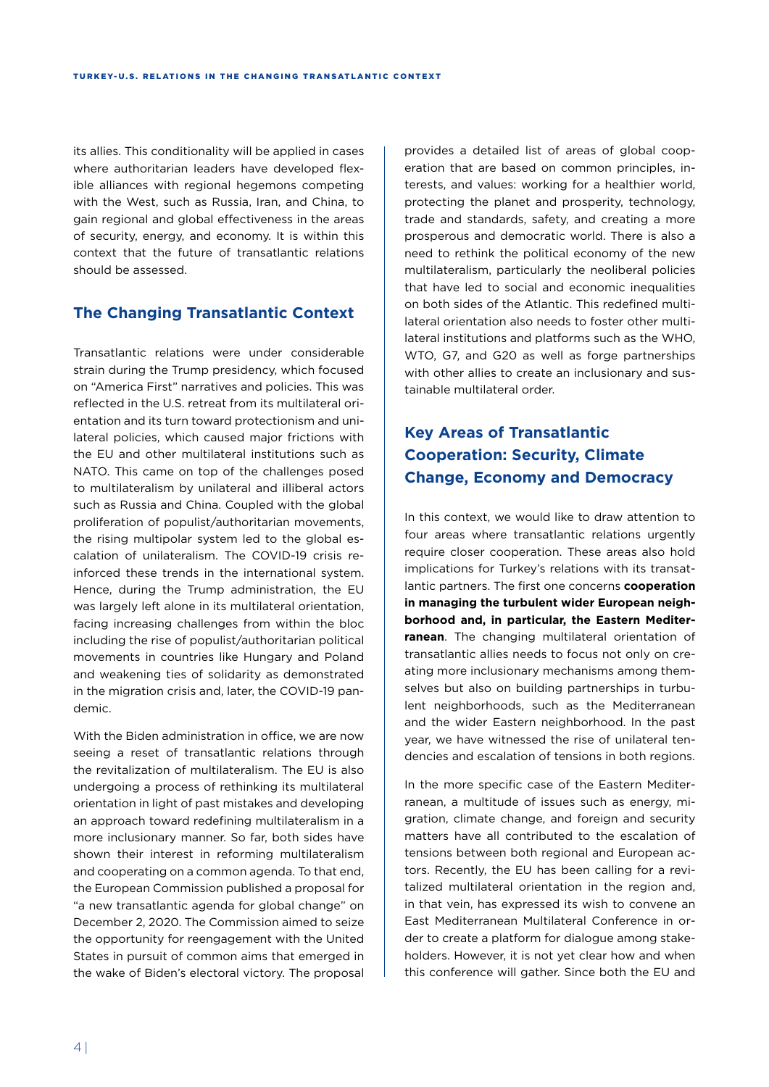its allies. This conditionality will be applied in cases where authoritarian leaders have developed flexible alliances with regional hegemons competing with the West, such as Russia, Iran, and China, to gain regional and global effectiveness in the areas of security, energy, and economy. It is within this context that the future of transatlantic relations should be assessed.

## **The Changing Transatlantic Context**

Transatlantic relations were under considerable strain during the Trump presidency, which focused on "America First" narratives and policies. This was reflected in the U.S. retreat from its multilateral orientation and its turn toward protectionism and unilateral policies, which caused major frictions with the EU and other multilateral institutions such as NATO. This came on top of the challenges posed to multilateralism by unilateral and illiberal actors such as Russia and China. Coupled with the global proliferation of populist/authoritarian movements, the rising multipolar system led to the global escalation of unilateralism. The COVID-19 crisis reinforced these trends in the international system. Hence, during the Trump administration, the EU was largely left alone in its multilateral orientation, facing increasing challenges from within the bloc including the rise of populist/authoritarian political movements in countries like Hungary and Poland and weakening ties of solidarity as demonstrated in the migration crisis and, later, the COVID-19 pandemic.

With the Biden administration in office, we are now seeing a reset of transatlantic relations through the revitalization of multilateralism. The EU is also undergoing a process of rethinking its multilateral orientation in light of past mistakes and developing an approach toward redefining multilateralism in a more inclusionary manner. So far, both sides have shown their interest in reforming multilateralism and cooperating on a common agenda. To that end, the European Commission published a proposal for "a new transatlantic agenda for global change" on December 2, 2020. The Commission aimed to seize the opportunity for reengagement with the United States in pursuit of common aims that emerged in the wake of Biden's electoral victory. The proposal provides a detailed list of areas of global cooperation that are based on common principles, interests, and values: working for a healthier world, protecting the planet and prosperity, technology, trade and standards, safety, and creating a more prosperous and democratic world. There is also a need to rethink the political economy of the new multilateralism, particularly the neoliberal policies that have led to social and economic inequalities on both sides of the Atlantic. This redefined multilateral orientation also needs to foster other multilateral institutions and platforms such as the WHO, WTO, G7, and G20 as well as forge partnerships with other allies to create an inclusionary and sustainable multilateral order.

# **Key Areas of Transatlantic Cooperation: Security, Climate Change, Economy and Democracy**

In this context, we would like to draw attention to four areas where transatlantic relations urgently require closer cooperation. These areas also hold implications for Turkey's relations with its transatlantic partners. The first one concerns **cooperation in managing the turbulent wider European neighborhood and, in particular, the Eastern Mediterranean**. The changing multilateral orientation of transatlantic allies needs to focus not only on creating more inclusionary mechanisms among themselves but also on building partnerships in turbulent neighborhoods, such as the Mediterranean and the wider Eastern neighborhood. In the past year, we have witnessed the rise of unilateral tendencies and escalation of tensions in both regions.

In the more specific case of the Eastern Mediterranean, a multitude of issues such as energy, migration, climate change, and foreign and security matters have all contributed to the escalation of tensions between both regional and European actors. Recently, the EU has been calling for a revitalized multilateral orientation in the region and, in that vein, has expressed its wish to convene an East Mediterranean Multilateral Conference in order to create a platform for dialogue among stakeholders. However, it is not yet clear how and when this conference will gather. Since both the EU and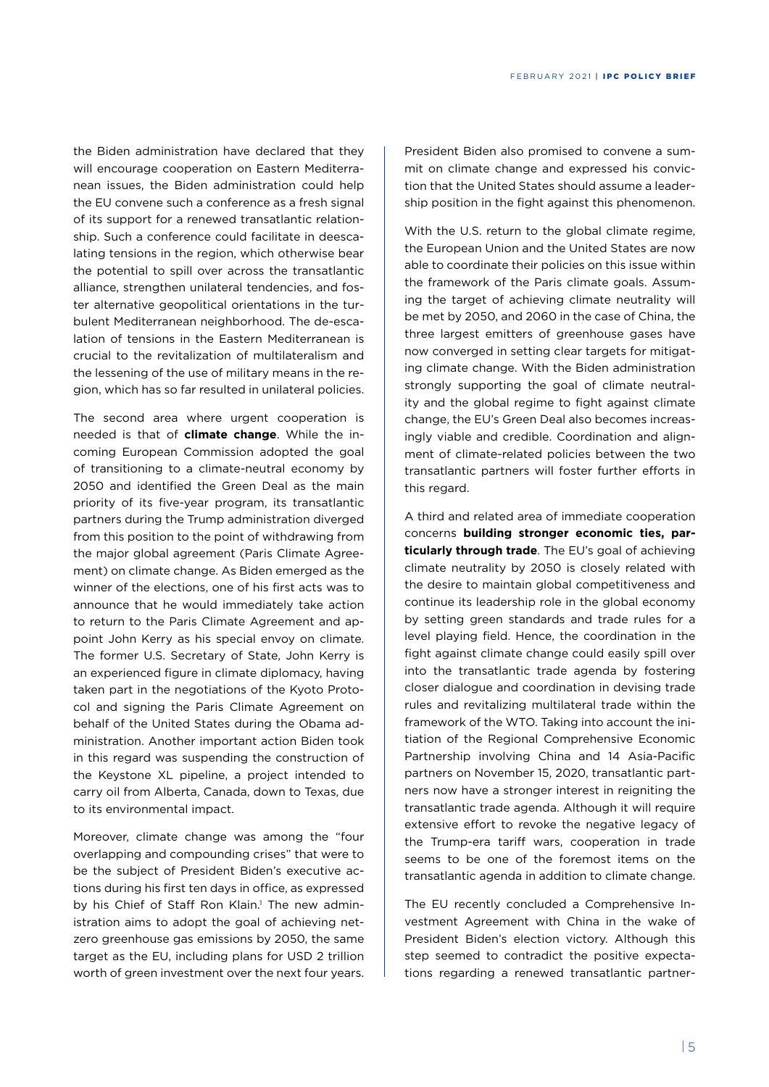the Biden administration have declared that they will encourage cooperation on Eastern Mediterranean issues, the Biden administration could help the EU convene such a conference as a fresh signal of its support for a renewed transatlantic relationship. Such a conference could facilitate in deescalating tensions in the region, which otherwise bear the potential to spill over across the transatlantic alliance, strengthen unilateral tendencies, and foster alternative geopolitical orientations in the turbulent Mediterranean neighborhood. The de-escalation of tensions in the Eastern Mediterranean is crucial to the revitalization of multilateralism and the lessening of the use of military means in the region, which has so far resulted in unilateral policies.

The second area where urgent cooperation is needed is that of **climate change**. While the incoming European Commission adopted the goal of transitioning to a climate-neutral economy by 2050 and identified the Green Deal as the main priority of its five-year program, its transatlantic partners during the Trump administration diverged from this position to the point of withdrawing from the major global agreement (Paris Climate Agreement) on climate change. As Biden emerged as the winner of the elections, one of his first acts was to announce that he would immediately take action to return to the Paris Climate Agreement and appoint John Kerry as his special envoy on climate. The former U.S. Secretary of State, John Kerry is an experienced figure in climate diplomacy, having taken part in the negotiations of the Kyoto Protocol and signing the Paris Climate Agreement on behalf of the United States during the Obama administration. Another important action Biden took in this regard was suspending the construction of the Keystone XL pipeline, a project intended to carry oil from Alberta, Canada, down to Texas, due to its environmental impact.

Moreover, climate change was among the "four overlapping and compounding crises" that were to be the subject of President Biden's executive actions during his first ten days in office, as expressed by his Chief of Staff Ron Klain.<sup>1</sup> The new administration aims to adopt the goal of achieving netzero greenhouse gas emissions by 2050, the same target as the EU, including plans for USD 2 trillion worth of green investment over the next four years.

President Biden also promised to convene a summit on climate change and expressed his conviction that the United States should assume a leadership position in the fight against this phenomenon.

With the U.S. return to the global climate regime, the European Union and the United States are now able to coordinate their policies on this issue within the framework of the Paris climate goals. Assuming the target of achieving climate neutrality will be met by 2050, and 2060 in the case of China, the three largest emitters of greenhouse gases have now converged in setting clear targets for mitigating climate change. With the Biden administration strongly supporting the goal of climate neutrality and the global regime to fight against climate change, the EU's Green Deal also becomes increasingly viable and credible. Coordination and alignment of climate-related policies between the two transatlantic partners will foster further efforts in this regard.

A third and related area of immediate cooperation concerns **building stronger economic ties, particularly through trade**. The EU's goal of achieving climate neutrality by 2050 is closely related with the desire to maintain global competitiveness and continue its leadership role in the global economy by setting green standards and trade rules for a level playing field. Hence, the coordination in the fight against climate change could easily spill over into the transatlantic trade agenda by fostering closer dialogue and coordination in devising trade rules and revitalizing multilateral trade within the framework of the WTO. Taking into account the initiation of the Regional Comprehensive Economic Partnership involving China and 14 Asia-Pacific partners on November 15, 2020, transatlantic partners now have a stronger interest in reigniting the transatlantic trade agenda. Although it will require extensive effort to revoke the negative legacy of the Trump-era tariff wars, cooperation in trade seems to be one of the foremost items on the transatlantic agenda in addition to climate change.

The EU recently concluded a Comprehensive Investment Agreement with China in the wake of President Biden's election victory. Although this step seemed to contradict the positive expectations regarding a renewed transatlantic partner-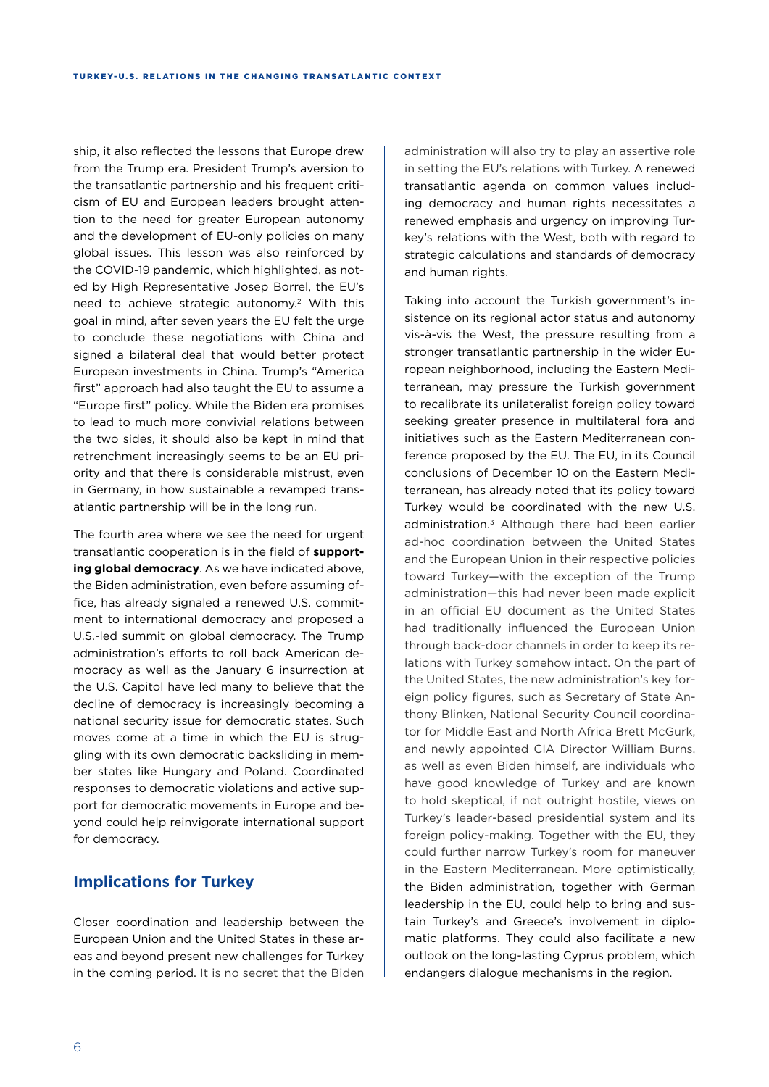ship, it also reflected the lessons that Europe drew from the Trump era. President Trump's aversion to the transatlantic partnership and his frequent criticism of EU and European leaders brought attention to the need for greater European autonomy and the development of EU-only policies on many global issues. This lesson was also reinforced by the COVID-19 pandemic, which highlighted, as noted by High Representative Josep Borrel, the EU's need to achieve strategic autonomy.2 With this goal in mind, after seven years the EU felt the urge to conclude these negotiations with China and signed a bilateral deal that would better protect European investments in China. Trump's "America first" approach had also taught the EU to assume a "Europe first" policy. While the Biden era promises to lead to much more convivial relations between the two sides, it should also be kept in mind that retrenchment increasingly seems to be an EU priority and that there is considerable mistrust, even in Germany, in how sustainable a revamped transatlantic partnership will be in the long run.

The fourth area where we see the need for urgent transatlantic cooperation is in the field of **supporting global democracy**. As we have indicated above, the Biden administration, even before assuming office, has already signaled a renewed U.S. commitment to international democracy and proposed a U.S.-led summit on global democracy. The Trump administration's efforts to roll back American democracy as well as the January 6 insurrection at the U.S. Capitol have led many to believe that the decline of democracy is increasingly becoming a national security issue for democratic states. Such moves come at a time in which the EU is struggling with its own democratic backsliding in member states like Hungary and Poland. Coordinated responses to democratic violations and active support for democratic movements in Europe and beyond could help reinvigorate international support for democracy.

## **Implications for Turkey**

Closer coordination and leadership between the European Union and the United States in these areas and beyond present new challenges for Turkey in the coming period. It is no secret that the Biden

administration will also try to play an assertive role in setting the EU's relations with Turkey. A renewed transatlantic agenda on common values including democracy and human rights necessitates a renewed emphasis and urgency on improving Turkey's relations with the West, both with regard to strategic calculations and standards of democracy and human rights.

Taking into account the Turkish government's insistence on its regional actor status and autonomy vis-à-vis the West, the pressure resulting from a stronger transatlantic partnership in the wider European neighborhood, including the Eastern Mediterranean, may pressure the Turkish government to recalibrate its unilateralist foreign policy toward seeking greater presence in multilateral fora and initiatives such as the Eastern Mediterranean conference proposed by the EU. The EU, in its Council conclusions of December 10 on the Eastern Mediterranean, has already noted that its policy toward Turkey would be coordinated with the new U.S. administration.<sup>3</sup> Although there had been earlier ad-hoc coordination between the United States and the European Union in their respective policies toward Turkey—with the exception of the Trump administration—this had never been made explicit in an official EU document as the United States had traditionally influenced the European Union through back-door channels in order to keep its relations with Turkey somehow intact. On the part of the United States, the new administration's key foreign policy figures, such as Secretary of State Anthony Blinken, National Security Council coordinator for Middle East and North Africa Brett McGurk, and newly appointed CIA Director William Burns, as well as even Biden himself, are individuals who have good knowledge of Turkey and are known to hold skeptical, if not outright hostile, views on Turkey's leader-based presidential system and its foreign policy-making. Together with the EU, they could further narrow Turkey's room for maneuver in the Eastern Mediterranean. More optimistically, the Biden administration, together with German leadership in the EU, could help to bring and sustain Turkey's and Greece's involvement in diplomatic platforms. They could also facilitate a new outlook on the long-lasting Cyprus problem, which endangers dialogue mechanisms in the region.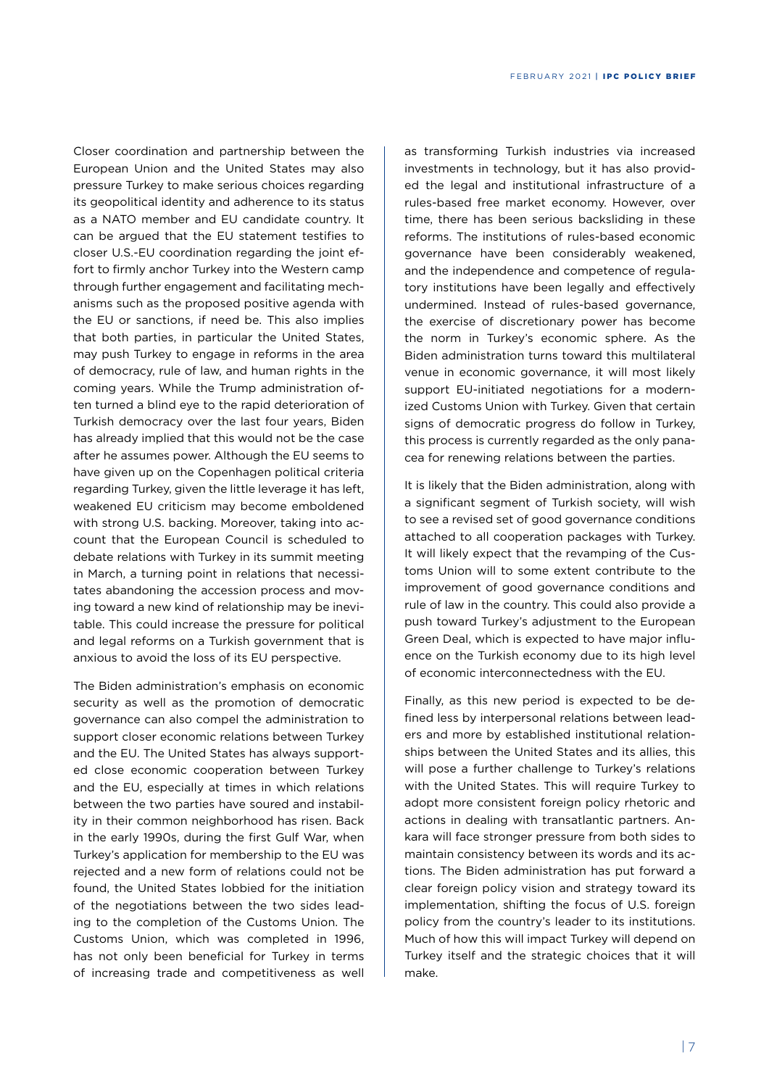Closer coordination and partnership between the European Union and the United States may also pressure Turkey to make serious choices regarding its geopolitical identity and adherence to its status as a NATO member and EU candidate country. It can be argued that the EU statement testifies to closer U.S.-EU coordination regarding the joint effort to firmly anchor Turkey into the Western camp through further engagement and facilitating mechanisms such as the proposed positive agenda with the EU or sanctions, if need be. This also implies that both parties, in particular the United States, may push Turkey to engage in reforms in the area of democracy, rule of law, and human rights in the coming years. While the Trump administration often turned a blind eye to the rapid deterioration of Turkish democracy over the last four years, Biden has already implied that this would not be the case after he assumes power. Although the EU seems to have given up on the Copenhagen political criteria regarding Turkey, given the little leverage it has left, weakened EU criticism may become emboldened with strong U.S. backing. Moreover, taking into account that the European Council is scheduled to debate relations with Turkey in its summit meeting in March, a turning point in relations that necessitates abandoning the accession process and moving toward a new kind of relationship may be inevitable. This could increase the pressure for political and legal reforms on a Turkish government that is anxious to avoid the loss of its EU perspective.

The Biden administration's emphasis on economic security as well as the promotion of democratic governance can also compel the administration to support closer economic relations between Turkey and the EU. The United States has always supported close economic cooperation between Turkey and the EU, especially at times in which relations between the two parties have soured and instability in their common neighborhood has risen. Back in the early 1990s, during the first Gulf War, when Turkey's application for membership to the EU was rejected and a new form of relations could not be found, the United States lobbied for the initiation of the negotiations between the two sides leading to the completion of the Customs Union. The Customs Union, which was completed in 1996, has not only been beneficial for Turkey in terms of increasing trade and competitiveness as well

as transforming Turkish industries via increased investments in technology, but it has also provided the legal and institutional infrastructure of a rules-based free market economy. However, over time, there has been serious backsliding in these reforms. The institutions of rules-based economic governance have been considerably weakened, and the independence and competence of regulatory institutions have been legally and effectively undermined. Instead of rules-based governance, the exercise of discretionary power has become the norm in Turkey's economic sphere. As the Biden administration turns toward this multilateral venue in economic governance, it will most likely support EU-initiated negotiations for a modernized Customs Union with Turkey. Given that certain signs of democratic progress do follow in Turkey, this process is currently regarded as the only panacea for renewing relations between the parties.

It is likely that the Biden administration, along with a significant segment of Turkish society, will wish to see a revised set of good governance conditions attached to all cooperation packages with Turkey. It will likely expect that the revamping of the Customs Union will to some extent contribute to the improvement of good governance conditions and rule of law in the country. This could also provide a push toward Turkey's adjustment to the European Green Deal, which is expected to have major influence on the Turkish economy due to its high level of economic interconnectedness with the EU.

Finally, as this new period is expected to be defined less by interpersonal relations between leaders and more by established institutional relationships between the United States and its allies, this will pose a further challenge to Turkey's relations with the United States. This will require Turkey to adopt more consistent foreign policy rhetoric and actions in dealing with transatlantic partners. Ankara will face stronger pressure from both sides to maintain consistency between its words and its actions. The Biden administration has put forward a clear foreign policy vision and strategy toward its implementation, shifting the focus of U.S. foreign policy from the country's leader to its institutions. Much of how this will impact Turkey will depend on Turkey itself and the strategic choices that it will make.